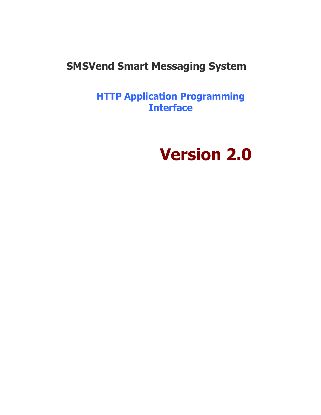### **SMSVend Smart Messaging System**

**HTTP Application Programming Interface**

# **Version 2.0**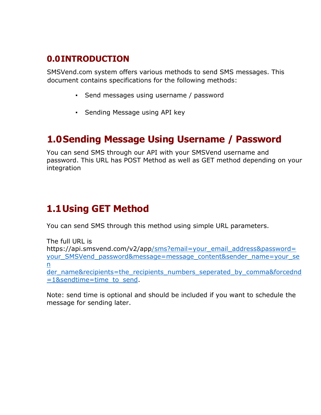### **0.0INTRODUCTION**

SMSVend.com system offers various methods to send SMS messages. This document contains specifications for the following methods:

- Send messages using username / password
- Sending Message using API key

### **1.0Sending Message Using Username / Password**

You can send SMS through our API with your SMSVend username and password. This URL has POST Method as well as GET method depending on your integration

### **1.1Using GET Method**

You can send SMS through this method using simple URL parameters.

The full URL is https://api.smsvend.com/v2/ap[p/sms?email=your\\_email\\_address&password=](https://app.multitexter.com/v2/app/sms?email=your_email_address&password=your_multitexter_password&message=message_content&sender_name=your_sender_name&recipients=the_recipients_numbers_seperated_by_comma&forcednd=1&sendtime=time_to_send) [your\\_SMSVend\\_password&message=message\\_content&sender\\_name=your\\_se](https://app.multitexter.com/v2/app/sms?email=your_email_address&password=your_multitexter_password&message=message_content&sender_name=your_sender_name&recipients=the_recipients_numbers_seperated_by_comma&forcednd=1&sendtime=time_to_send) [n](https://app.multitexter.com/v2/app/sms?email=your_email_address&password=your_multitexter_password&message=message_content&sender_name=your_sender_name&recipients=the_recipients_numbers_seperated_by_comma&forcednd=1&sendtime=time_to_send) der name&recipients=the recipients numbers seperated by comma&forcednd

[=1&sendtime=time\\_to\\_send.](https://app.multitexter.com/v2/app/sms?email=your_email_address&password=your_multitexter_password&message=message_content&sender_name=your_sender_name&recipients=the_recipients_numbers_seperated_by_comma&forcednd=1&sendtime=time_to_send)

Note: send time is optional and should be included if you want to schedule the message for sending later.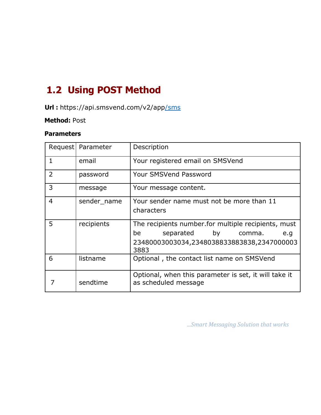## **1.2 Using POST Method**

**Url :** https://api.smsvend.com/v2/ap[p/sms](https://app.multitexter.com/v2/app/sms)

**Method:** Post

#### **Parameters**

|                | Request   Parameter | Description                                                                                                                                      |  |
|----------------|---------------------|--------------------------------------------------------------------------------------------------------------------------------------------------|--|
| 1              | email               | Your registered email on SMSVend                                                                                                                 |  |
| $\overline{2}$ | password            | <b>Your SMSVend Password</b>                                                                                                                     |  |
| 3              | message             | Your message content.                                                                                                                            |  |
| $\overline{4}$ | sender_name         | Your sender name must not be more than 11<br>characters                                                                                          |  |
| 5              | recipients          | The recipients number for multiple recipients, must<br>be<br>separated by<br>comma.<br>e.g<br>23480003003034,2348038833883838,2347000003<br>3883 |  |
| 6              | listname            | Optional, the contact list name on SMSVend                                                                                                       |  |
|                | sendtime            | Optional, when this parameter is set, it will take it<br>as scheduled message                                                                    |  |

*...Smart Messaging Solution that works*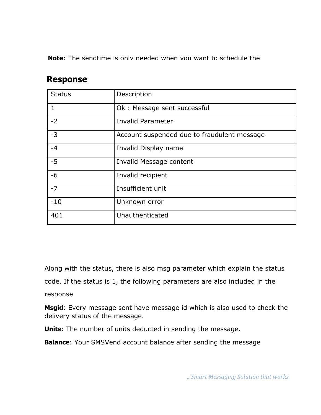**Note**: The sendtime is only needed when you want to schedule the

| <b>Status</b> | Description                                 |
|---------------|---------------------------------------------|
| $\mathbf{1}$  | Ok : Message sent successful                |
| $-2$          | <b>Invalid Parameter</b>                    |
| $-3$          | Account suspended due to fraudulent message |
| $-4$          | Invalid Display name                        |
| $-5$          | Invalid Message content                     |
| $-6$          | Invalid recipient                           |
| $-7$          | Insufficient unit                           |
| $-10$         | Unknown error                               |
| 401           | Unauthenticated                             |

#### **Response**

Along with the status, there is also msg parameter which explain the status

code. If the status is 1, the following parameters are also included in the

response

**Msgid**: Every message sent have message id which is also used to check the delivery status of the message.

**Units**: The number of units deducted in sending the message.

**Balance**: Your SMSVend account balance after sending the message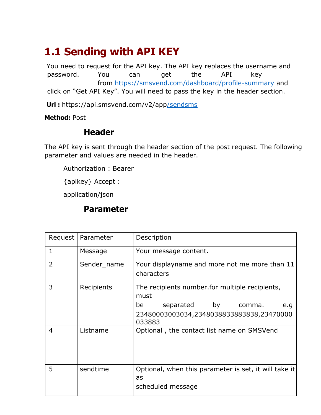## **1.1 Sending with API KEY**

You need to request for the API key. The API key replaces the username and password. You can get the API key from [https://smsvend.com/dashboard/profile-summary](https://web.multitexter.com/dashboard/profile-summary) [a](https://web.multitexter.com/dashboard/profile-summary)nd click on "Get API Key". You will need to pass the key in the header section.

Url : https://api.smsvend.com/v2/ap[p/sendsms](https://app.multitexter.com/v2/app/sendsms)

**Method:** Post

### **Header**

The API key is sent through the header section of the post request. The following parameter and values are needed in the header.

Authorization : Bearer

{apikey} Accept :

application/json

#### **Parameter**

|                | Request   Parameter | Description                                                                                                                                         |  |
|----------------|---------------------|-----------------------------------------------------------------------------------------------------------------------------------------------------|--|
| 1              | Message             | Your message content.                                                                                                                               |  |
| $\overline{2}$ | Sender_name         | Your displayname and more not me more than 11<br>characters                                                                                         |  |
| 3              | Recipients          | The recipients number for multiple recipients,<br>must<br>separated by<br>be<br>comma.<br>e.g<br>23480003003034,2348038833883838,23470000<br>033883 |  |
| $\overline{4}$ | Listname            | Optional, the contact list name on SMSVend                                                                                                          |  |
| 5              | sendtime            | Optional, when this parameter is set, it will take it<br>as<br>scheduled message                                                                    |  |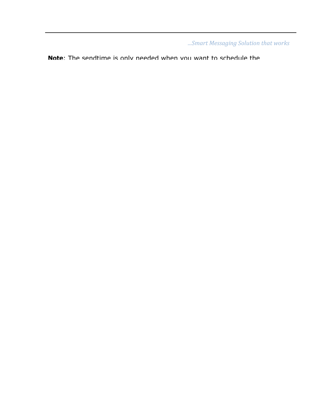*...Smart Messaging Solution that works*

**Note**: The sendtime is only needed when you want to schedule the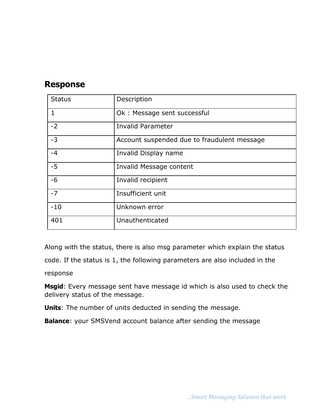#### **Response**

| <b>Status</b> | Description                                 |
|---------------|---------------------------------------------|
| $\mathbf{1}$  | Ok: Message sent successful                 |
| $-2$          | <b>Invalid Parameter</b>                    |
| $-3$          | Account suspended due to fraudulent message |
| $-4$          | Invalid Display name                        |
| $-5$          | Invalid Message content                     |
| $-6$          | Invalid recipient                           |
| $-7$          | Insufficient unit                           |
| $-10$         | Unknown error                               |
| 401           | Unauthenticated                             |

Along with the status, there is also msg parameter which explain the status

code. If the status is 1, the following parameters are also included in the

response

**Msgid**: Every message sent have message id which is also used to check the delivery status of the message.

**Units**: The number of units deducted in sending the message.

**Balance**: your SMSVend account balance after sending the message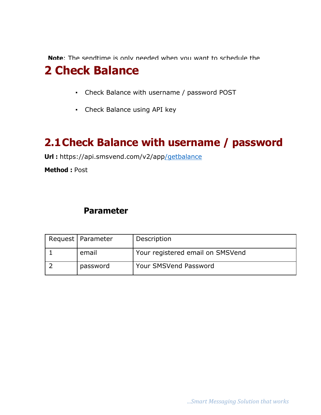**Note**: The sendtime is only needed when you want to schedule the

## **2 Check Balance**

- Check Balance with username / password POST
- Check Balance using API key

## **2.1Check Balance with username / password**

**Url :** https://api.smsvend.com/v2/ap[p/getbalance](https://app.multitexter.com/v2/app/getbalance)

**Method : Post** 

#### **Parameter**

| Request   Parameter | Description                      |
|---------------------|----------------------------------|
| email               | Your registered email on SMSVend |
| password            | Your SMSVend Password            |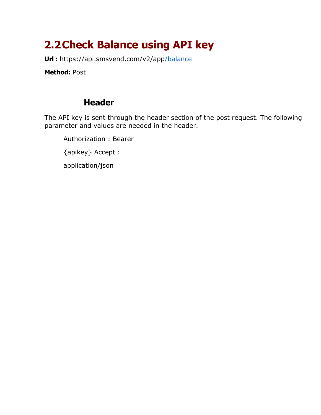## **2.2Check Balance using API key**

**Url :** https://api.smsvend.com/v2/ap[p/balance](https://app.multitexter.com/v2/app/balance)

**Method:** Post

### **Header**

The API key is sent through the header section of the post request. The following parameter and values are needed in the header.

Authorization : Bearer

{apikey} Accept :

application/json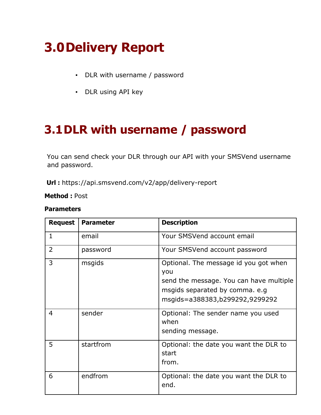# **3.0Delivery Report**

- DLR with username / password
- DLR using API key

# **3.1DLR with username / password**

You can send check your DLR through our API with your SMSVend username and password.

**Url :** https://api.smsvend.com/v2/app/delivery-report

**Method :** Post

#### **Parameters**

| <b>Request</b> | <b>Parameter</b> | <b>Description</b>                                                                                                                                          |
|----------------|------------------|-------------------------------------------------------------------------------------------------------------------------------------------------------------|
| 1              | email            | Your SMSVend account email                                                                                                                                  |
| 2              | password         | Your SMSVend account password                                                                                                                               |
| 3              | msgids           | Optional. The message id you got when<br>you<br>send the message. You can have multiple<br>msgids separated by comma. e.g<br>msgids=a388383,b299292,9299292 |
| 4              | sender           | Optional: The sender name you used<br>when<br>sending message.                                                                                              |
| 5              | startfrom        | Optional: the date you want the DLR to<br>start<br>from.                                                                                                    |
| 6              | endfrom          | Optional: the date you want the DLR to<br>end.                                                                                                              |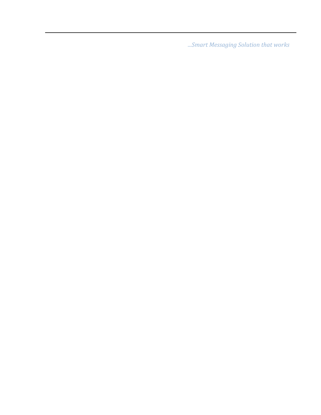*...Smart Messaging Solution that works*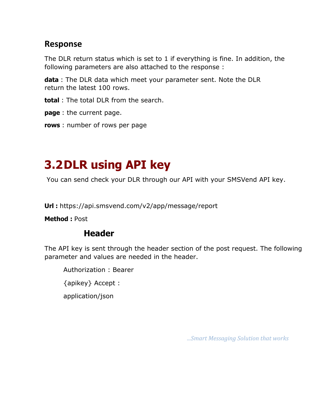### **Response**

The DLR return status which is set to 1 if everything is fine. In addition, the following parameters are also attached to the response :

**data** : The DLR data which meet your parameter sent. Note the DLR return the latest 100 rows.

**total** : The total DLR from the search.

**page** : the current page.

**rows** : number of rows per page

# **3.2DLR using API key**

You can send check your DLR through our API with your SMSVend API key.

**Url :** https://api.smsvend.com/v2/app/message/report

**Method :** Post

### **Header**

The API key is sent through the header section of the post request. The following parameter and values are needed in the header.

Authorization : Bearer

{apikey} Accept :

application/json

*...Smart Messaging Solution that works*